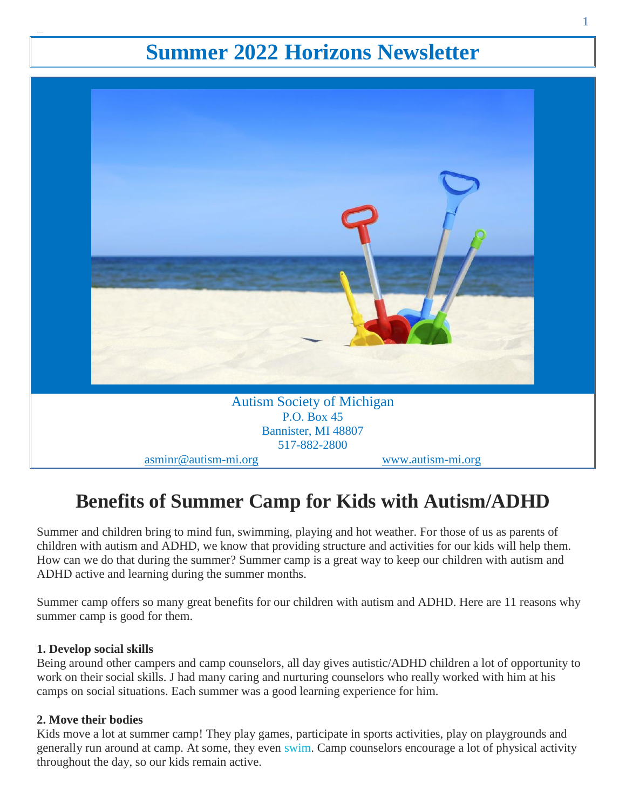# **Summer 2022 Horizons Newsletter**



# **Benefits of Summer Camp for Kids with Autism/ADHD**

Summer and children bring to mind fun, swimming, playing and hot weather. For those of us as parents of children with autism and ADHD, we know that providing structure and activities for our kids will help them. How can we do that during the summer? Summer camp is a great way to keep our children with autism and ADHD active and learning during the summer months.

Summer camp offers so many great benefits for our children with autism and ADHD. Here are 11 reasons why summer camp is good for them.

# **1. Develop social skills**

Being around other campers and camp counselors, all day gives autistic/ADHD children a lot of opportunity to work on their social skills. J had many caring and nurturing counselors who really worked with him at his camps on social situations. Each summer was a good learning experience for him.

# **2. Move their bodies**

Kids move a lot at summer camp! They play games, participate in sports activities, play on playgrounds and generally run around at camp. At some, they even [swim.](https://autismadhdconnection.com/autism-and-swimming/) Camp counselors encourage a lot of physical activity throughout the day, so our kids remain active.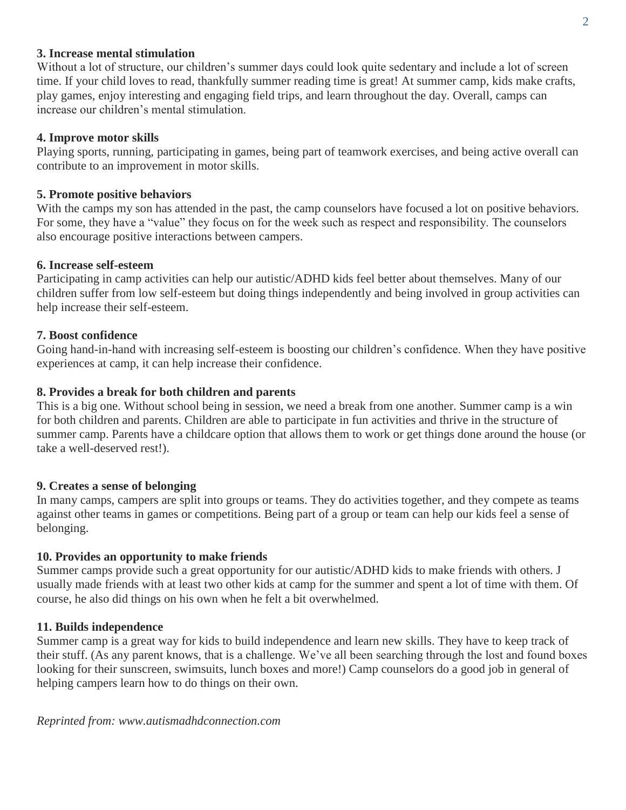#### **3. Increase mental stimulation**

Without a lot of structure, our children's summer days could look quite sedentary and include a lot of screen time. If your child loves to read, thankfully summer reading time is great! At summer camp, kids make crafts, play games, enjoy interesting and engaging field trips, and learn throughout the day. Overall, camps can increase our children's mental stimulation.

# **4. Improve motor skills**

Playing sports, running, participating in games, being part of teamwork exercises, and being active overall can contribute to an improvement in motor skills.

# **5. Promote positive behaviors**

With the camps my son has attended in the past, the camp counselors have focused a lot on positive behaviors. For some, they have a "value" they focus on for the week such as respect and responsibility. The counselors also encourage positive interactions between campers.

## **6. Increase self-esteem**

Participating in camp activities can help our autistic/ADHD kids feel better about themselves. Many of our children suffer from low self-esteem but doing things independently and being involved in group activities can help increase their self-esteem.

# **7. Boost confidence**

Going hand-in-hand with increasing self-esteem is boosting our children's confidence. When they have positive experiences at camp, it can help increase their confidence.

# **8. Provides a break for both children and parents**

This is a big one. Without school being in session, we need a break from one another. Summer camp is a win for both children and parents. Children are able to participate in fun activities and thrive in the structure of summer camp. Parents have a childcare option that allows them to work or get things done around the house (or take a well-deserved rest!).

## **9. Creates a sense of belonging**

In many camps, campers are split into groups or teams. They do activities together, and they compete as teams against other teams in games or competitions. Being part of a group or team can help our kids feel a sense of belonging.

## **10. Provides an opportunity to make friends**

Summer camps provide such a great opportunity for our autistic/ADHD kids to make friends with others. J usually made friends with at least two other kids at camp for the summer and spent a lot of time with them. Of course, he also did things on his own when he felt a bit overwhelmed.

## **11. Builds independence**

Summer camp is a great way for kids to build independence and learn new skills. They have to keep track of their stuff. (As any parent knows, that is a challenge. We've all been searching through the lost and found boxes looking for their sunscreen, swimsuits, lunch boxes and more!) Camp counselors do a good job in general of helping campers learn how to do things on their own.

*Reprinted from: www.autismadhdconnection.com*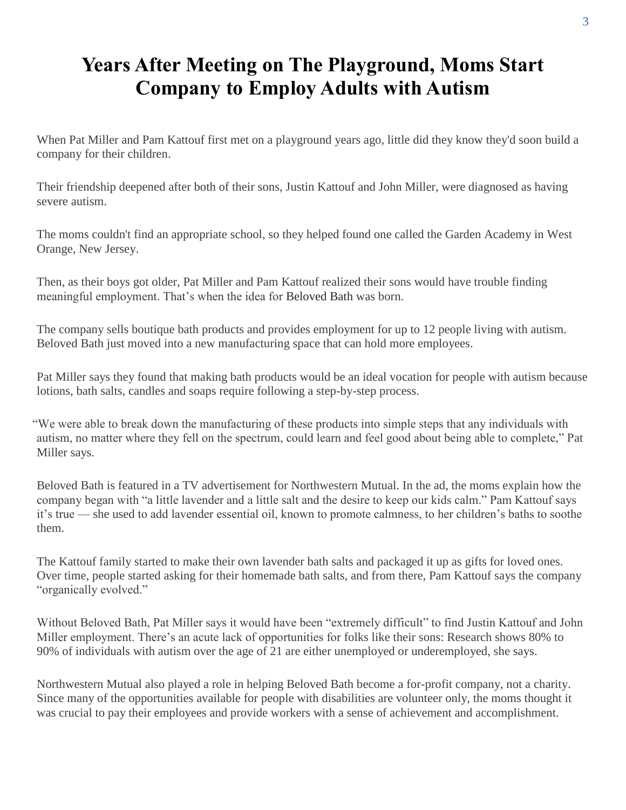# **Years After Meeting on The Playground, Moms Start Company to Employ Adults with Autism**

When Pat Miller and Pam Kattouf first met on a playground years ago, little did they know they'd soon build a company for their children.

Their friendship deepened after both of their sons, Justin Kattouf and John Miller, were diagnosed as having severe autism.

The moms couldn't find an appropriate school, so they helped found one called the Garden Academy in West Orange, New Jersey.

Then, as their boys got older, Pat Miller and Pam Kattouf realized their sons would have trouble finding meaningful employment. That's when the idea for Beloved Bath was born.

The company sells boutique bath products and provides employment for up to 12 people living with autism. Beloved Bath just moved into a new manufacturing space that can hold more employees.

Pat Miller says they found that making bath products would be an ideal vocation for people with autism because lotions, bath salts, candles and soaps require following a step-by-step process.

"We were able to break down the manufacturing of these products into simple steps that any individuals with autism, no matter where they fell on the spectrum, could learn and feel good about being able to complete," Pat Miller says.

Beloved Bath is featured in a TV advertisement for Northwestern Mutual. In the ad, the moms explain how the company began with "a little lavender and a little salt and the desire to keep our kids calm." Pam Kattouf says it's true — she used to add lavender essential oil, known to promote calmness, to her children's baths to soothe them.

The Kattouf family started to make their own lavender bath salts and packaged it up as gifts for loved ones. Over time, people started asking for their homemade bath salts, and from there, Pam Kattouf says the company "organically evolved."

Without Beloved Bath, Pat Miller says it would have been "extremely difficult" to find Justin Kattouf and John Miller employment. There's an acute lack of opportunities for folks like their sons: Research shows 80% to 90% of individuals with autism over the age of 21 are either unemployed or underemployed, she says.

Northwestern Mutual also played a role in helping Beloved Bath become a for-profit company, not a charity. Since many of the opportunities available for people with disabilities are volunteer only, the moms thought it was crucial to pay their employees and provide workers with a sense of achievement and accomplishment.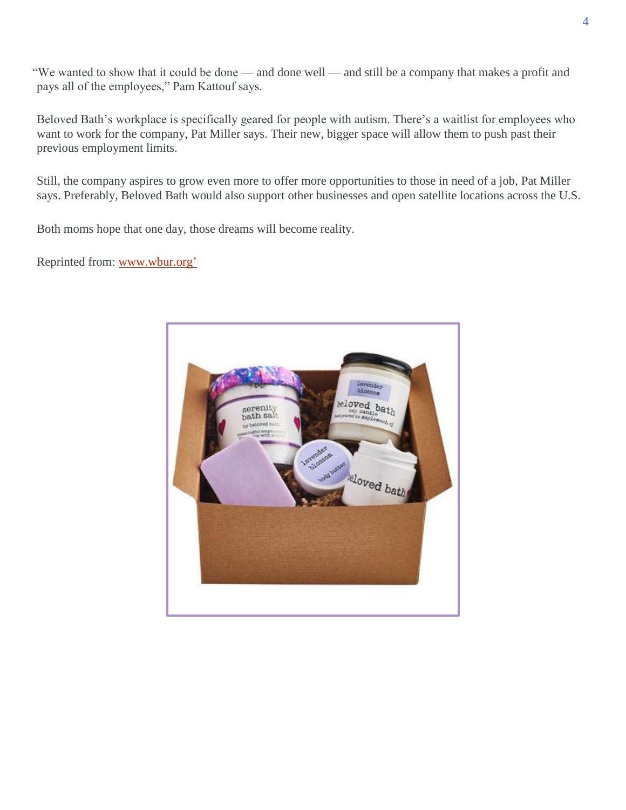"We wanted to show that it could be done — and done well — and still be a company that makes a profit and pays all of the employees," Pam Kattouf says.

Beloved Bath's workplace is specifically geared for people with autism. There's a waitlist for employees who want to work for the company, Pat Miller says. Their new, bigger space will allow them to push past their previous employment limits.

Still, the company aspires to grow even more to offer more opportunities to those in need of a job, Pat Miller says. Preferably, Beloved Bath would also support other businesses and open satellite locations across the U.S.

Both moms hope that one day, those dreams will become reality.

Reprinted from: [www.wbur.org'](http://www.wbur.org/)

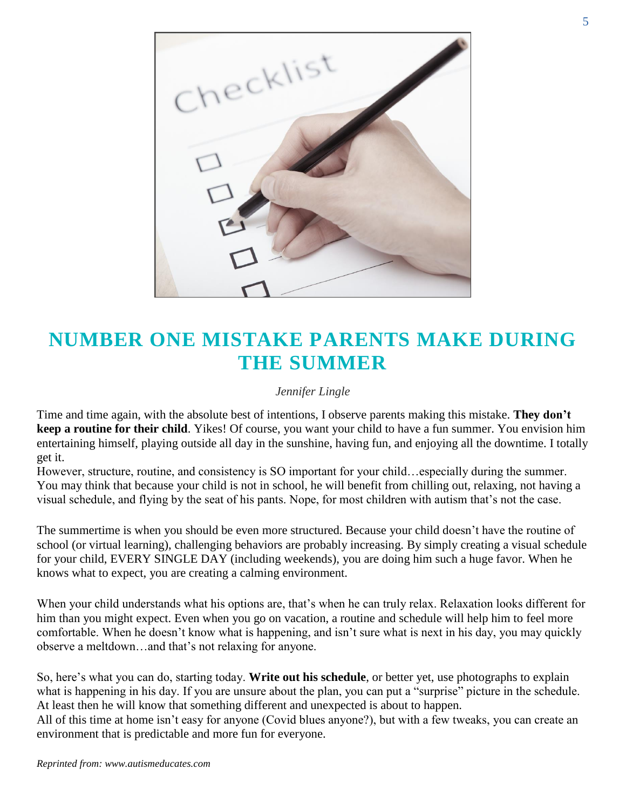

# **NUMBER ONE MISTAKE PARENTS MAKE DURING THE SUMMER**

#### *Jennifer Lingle*

Time and time again, with the absolute best of intentions, I observe parents making this mistake. **They don't keep a routine for their child**. Yikes! Of course, you want your child to have a fun summer. You envision him entertaining himself, playing outside all day in the sunshine, having fun, and enjoying all the downtime. I totally get it.

However, structure, routine, and consistency is SO important for your child…especially during the summer. You may think that because your child is not in school, he will benefit from chilling out, relaxing, not having a visual schedule, and flying by the seat of his pants. Nope, for most children with autism that's not the case.

The summertime is when you should be even more structured. Because your child doesn't have the routine of school (or virtual learning), challenging behaviors are probably increasing. By simply creating a visual schedule for your child, EVERY SINGLE DAY (including weekends), you are doing him such a huge favor. When he knows what to expect, you are creating a calming environment.

When your child understands what his options are, that's when he can truly relax. Relaxation looks different for him than you might expect. Even when you go on vacation, a routine and schedule will help him to feel more comfortable. When he doesn't know what is happening, and isn't sure what is next in his day, you may quickly observe a meltdown…and that's not relaxing for anyone.

So, here's what you can do, starting today. **Write out his schedule**, or better yet, use photographs to explain what is happening in his day. If you are unsure about the plan, you can put a "surprise" picture in the schedule. At least then he will know that something different and unexpected is about to happen. All of this time at home isn't easy for anyone (Covid blues anyone?), but with a few tweaks, you can create an environment that is predictable and more fun for everyone.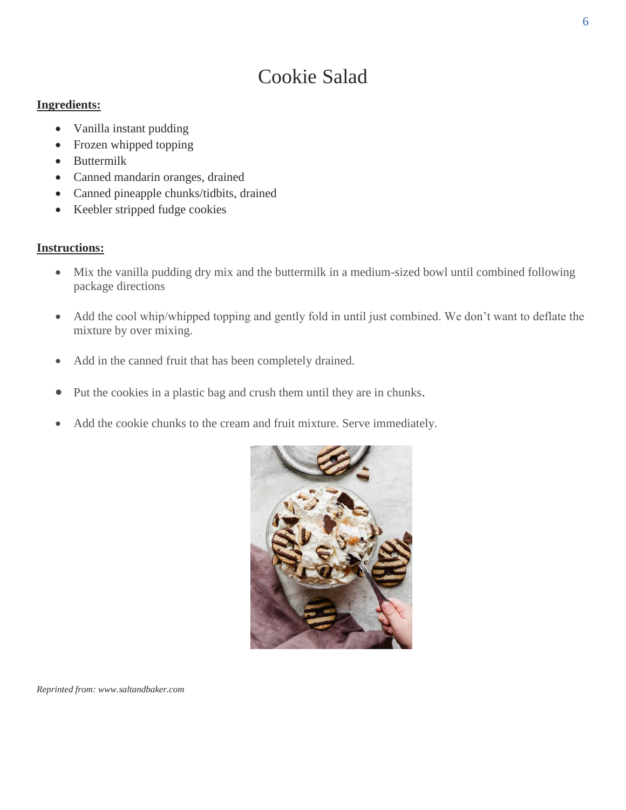# Cookie Salad

# **Ingredients:**

- Vanilla instant pudding
- Frozen whipped topping
- Buttermilk
- Canned mandarin oranges, drained
- Canned pineapple chunks/tidbits, drained
- Keebler stripped fudge cookies

# **Instructions:**

- Mix the vanilla pudding dry mix and the buttermilk in a medium-sized bowl until combined following package directions
- Add the cool whip/whipped topping and gently fold in until just combined. We don't want to deflate the mixture by over mixing.
- Add in the canned fruit that has been completely drained.
- Put the cookies in a plastic bag and crush them until they are in chunks.
- Add the cookie chunks to the cream and fruit mixture. Serve immediately.



*Reprinted from: www.saltandbaker.com*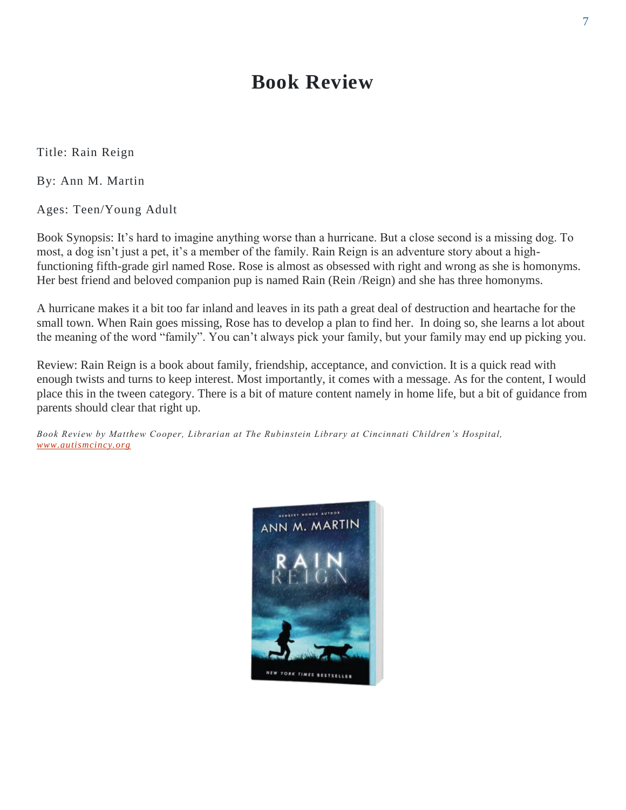# **Book Review**

Title: Rain Reign

By: Ann M. Martin

Ages: Teen/Young Adult

Book Synopsis: It's hard to imagine anything worse than a hurricane. But a close second is a missing dog. To most, a dog isn't just a pet, it's a member of the family. Rain Reign is an adventure story about a highfunctioning fifth-grade girl named Rose. Rose is almost as obsessed with right and wrong as she is homonyms. Her best friend and beloved companion pup is named Rain (Rein /Reign) and she has three homonyms.

A hurricane makes it a bit too far inland and leaves in its path a great deal of destruction and heartache for the small town. When Rain goes missing, Rose has to develop a plan to find her. In doing so, she learns a lot about the meaning of the word "family". You can't always pick your family, but your family may end up picking you.

Review: Rain Reign is a book about family, friendship, acceptance, and conviction. It is a quick read with enough twists and turns to keep interest. Most importantly, it comes with a message. As for the content, I would place this in the tween category. There is a bit of mature content namely in home life, but a bit of guidance from parents should clear that right up.

*Book Review by Matthew Cooper, Librarian at The Rubinstein Library at Cincinnati Children's Hospital, [www.autismcincy.org](http://www.autismcincy.org/)*